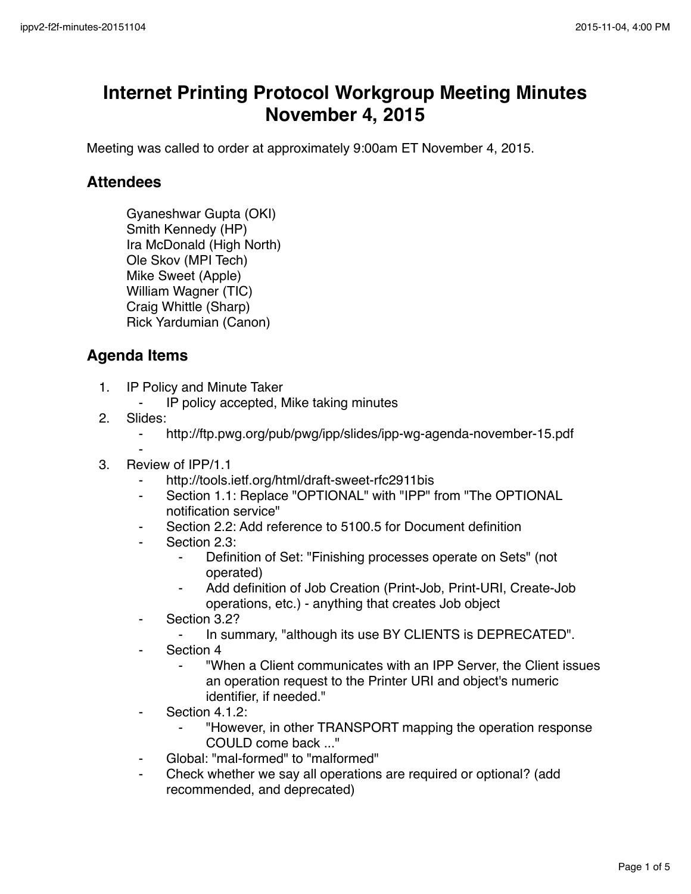## **Internet Printing Protocol Workgroup Meeting Minutes November 4, 2015**

Meeting was called to order at approximately 9:00am ET November 4, 2015.

## **Attendees**

Gyaneshwar Gupta (OKI) Smith Kennedy (HP) Ira McDonald (High North) Ole Skov (MPI Tech) Mike Sweet (Apple) William Wagner (TIC) Craig Whittle (Sharp) Rick Yardumian (Canon)

## **Agenda Items**

- 1. IP Policy and Minute Taker
	- ⁃ IP policy accepted, Mike taking minutes
- 2. Slides:
	- ⁃ http://ftp.pwg.org/pub/pwg/ipp/slides/ipp-wg-agenda-november-15.pdf
- ⁃ 3. Review of IPP/1.1
	- http://tools.ietf.org/html/draft-sweet-rfc2911bis
	- Section 1.1: Replace "OPTIONAL" with "IPP" from "The OPTIONAL notification service"
	- ⁃ Section 2.2: Add reference to 5100.5 for Document definition
	- Section 2.3:
		- ⁃ Definition of Set: "Finishing processes operate on Sets" (not operated)
		- Add definition of Job Creation (Print-Job, Print-URI, Create-Job operations, etc.) - anything that creates Job object
	- Section 3.2?
		- In summary, "although its use BY CLIENTS is DEPRECATED".
	- Section 4
		- ⁃ "When a Client communicates with an IPP Server, the Client issues an operation request to the Printer URI and object's numeric identifier, if needed."
	- Section 4.1.2:
		- ⁃ "However, in other TRANSPORT mapping the operation response COULD come back ..."
	- ⁃ Global: "mal-formed" to "malformed"
	- Check whether we say all operations are required or optional? (add recommended, and deprecated)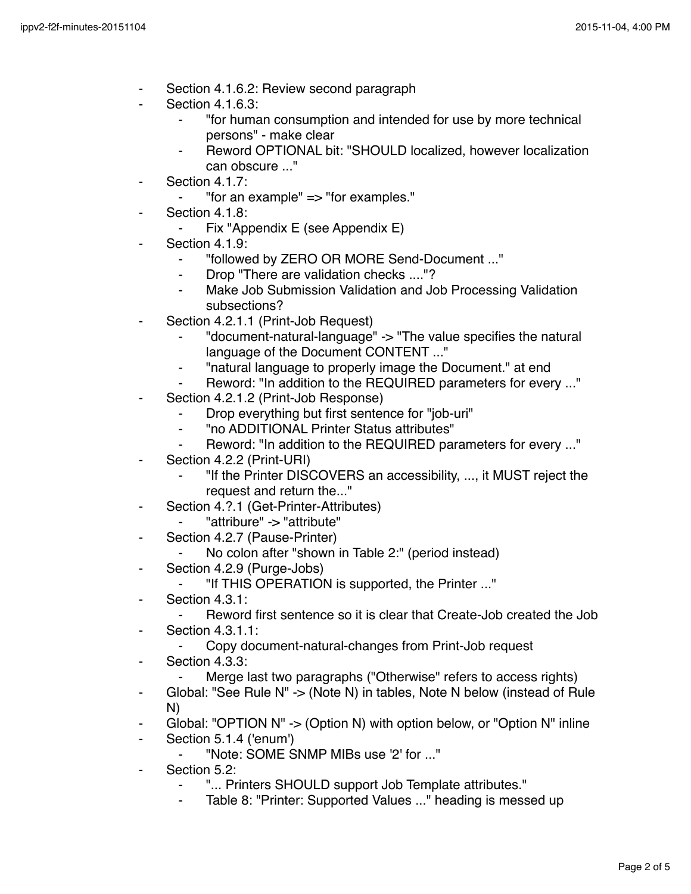- Section 4.1.6.2: Review second paragraph
- **Section 4.1.6.3:** 
	- ⁃ "for human consumption and intended for use by more technical persons" - make clear
	- Reword OPTIONAL bit: "SHOULD localized, however localization can obscure ..."
- Section 4.1.7:
	- ⁃ "for an example" => "for examples."
- Section 4.1.8:
	- Fix "Appendix E (see Appendix E)
- Section 4.1.9:
	- ⁃ "followed by ZERO OR MORE Send-Document ..."
	- ⁃ Drop "There are validation checks ...."?
	- ⁃ Make Job Submission Validation and Job Processing Validation subsections?
- Section 4.2.1.1 (Print-Job Request)
	- ⁃ "document-natural-language" -> "The value specifies the natural language of the Document CONTENT ..."
	- ⁃ "natural language to properly image the Document." at end
	- Reword: "In addition to the REQUIRED parameters for every ..."
- Section 4.2.1.2 (Print-Job Response)
	- Drop everything but first sentence for "job-uri"
	- ⁃ "no ADDITIONAL Printer Status attributes"
	- ⁃ Reword: "In addition to the REQUIRED parameters for every ..."
- Section 4.2.2 (Print-URI)
	- "If the Printer DISCOVERS an accessibility, ..., it MUST reject the request and return the..."
- Section 4.?.1 (Get-Printer-Attributes)
	- ⁃ "attribure" -> "attribute"
	- Section 4.2.7 (Pause-Printer)
		- No colon after "shown in Table 2:" (period instead)
- ⁃ Section 4.2.9 (Purge-Jobs)
	- ⁃ "If THIS OPERATION is supported, the Printer ..."
- Section 4.3.1:
	- Reword first sentence so it is clear that Create-Job created the Job
- **Section 4.3.1.1:** 
	- Copy document-natural-changes from Print-Job request
- ⁃ Section 4.3.3:
	- Merge last two paragraphs ("Otherwise" refers to access rights)
- ⁃ Global: "See Rule N" -> (Note N) in tables, Note N below (instead of Rule N)
- ⁃ Global: "OPTION N" -> (Option N) with option below, or "Option N" inline
- Section 5.1.4 ('enum')
	- ⁃ "Note: SOME SNMP MIBs use '2' for ..."
- ⁃ Section 5.2:
	- ⁃ "... Printers SHOULD support Job Template attributes."
	- Table 8: "Printer: Supported Values ..." heading is messed up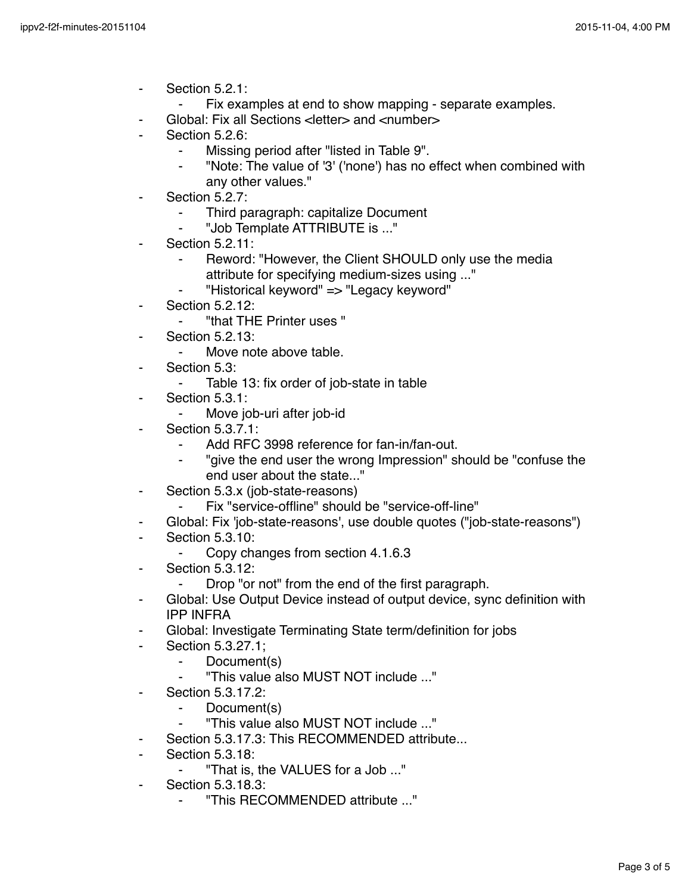- ⁃ Section 5.2.1:
	- ⁃ Fix examples at end to show mapping separate examples.
- Global: Fix all Sections < letter> and <number>
- Section 5.2.6:
	- ⁃ Missing period after "listed in Table 9".
	- ⁃ "Note: The value of '3' ('none') has no effect when combined with any other values."
- Section 5.2.7:
	- Third paragraph: capitalize Document
	- ⁃ "Job Template ATTRIBUTE is ..."
- **Section 5.2.11:** 
	- Reword: "However, the Client SHOULD only use the media attribute for specifying medium-sizes using ..."
	- ⁃ "Historical keyword" => "Legacy keyword"
- **Section 5.2.12:** 
	- ⁃ "that THE Printer uses "
- **Section 5.2.13:** 
	- Move note above table.
- Section 5.3:
	- Table 13: fix order of job-state in table
- Section 5.3.1:
	- ⁃ Move job-uri after job-id
- **Section 5.3.7.1:** 
	- Add RFC 3998 reference for fan-in/fan-out.
	- "give the end user the wrong Impression" should be "confuse the end user about the state..."
- Section 5.3.x (job-state-reasons)
	- Fix "service-offline" should be "service-off-line"
- ⁃ Global: Fix 'job-state-reasons', use double quotes ("job-state-reasons")
- **Section 5.3.10:** 
	- ⁃ Copy changes from section 4.1.6.3
- ⁃ Section 5.3.12:
	- Drop "or not" from the end of the first paragraph.
- Global: Use Output Device instead of output device, sync definition with IPP INFRA
- Global: Investigate Terminating State term/definition for jobs
- ⁃ Section 5.3.27.1;
	- ⁃ Document(s)
	- ⁃ "This value also MUST NOT include ..."
- ⁃ Section 5.3.17.2:
	- Document(s)
	- ⁃ "This value also MUST NOT include ..."
- Section 5.3.17.3: This RECOMMENDED attribute...
- **Section 5.3.18:** 
	- ⁃ "That is, the VALUES for a Job ..."
- Section 5.3.18.3:
	- ⁃ "This RECOMMENDED attribute ..."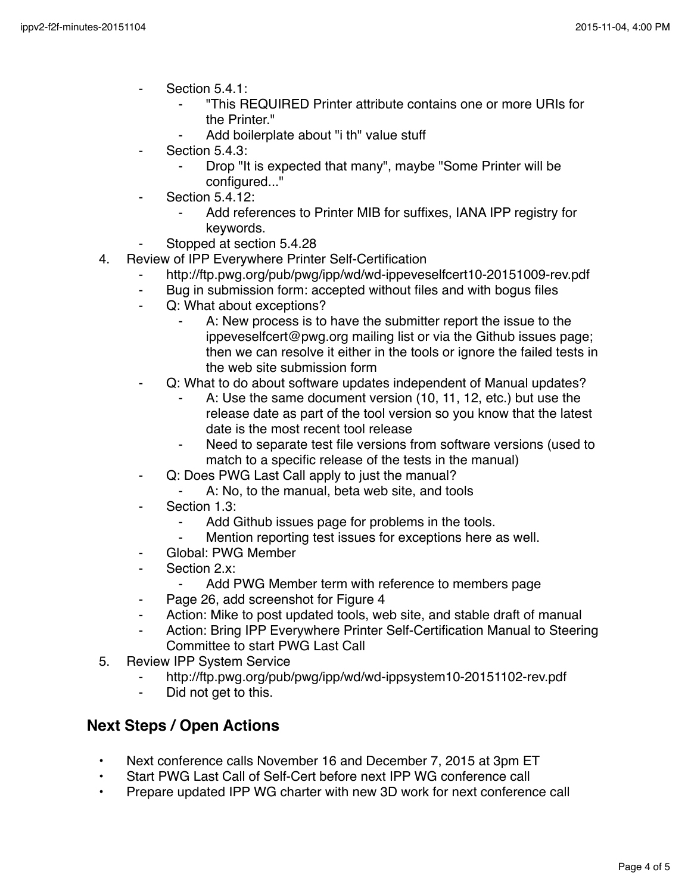- Section 5.4.1:
	- ⁃ "This REQUIRED Printer attribute contains one or more URIs for the Printer."
	- Add boilerplate about "i th" value stuff
- Section 5.4.3:
	- Drop "It is expected that many", maybe "Some Printer will be configured..."
- Section  $5.4.12$ :
	- Add references to Printer MIB for suffixes, IANA IPP registry for keywords.
- Stopped at section 5.4.28
- 4. Review of IPP Everywhere Printer Self-Certification
	- http://ftp.pwg.org/pub/pwg/ipp/wd/wd-ippeveselfcert10-20151009-rev.pdf
	- ⁃ Bug in submission form: accepted without files and with bogus files
	- Q: What about exceptions?
		- A: New process is to have the submitter report the issue to the ippeveselfcert@pwg.org mailing list or via the Github issues page; then we can resolve it either in the tools or ignore the failed tests in the web site submission form
	- Q: What to do about software updates independent of Manual updates?
		- A: Use the same document version (10, 11, 12, etc.) but use the release date as part of the tool version so you know that the latest date is the most recent tool release
		- Need to separate test file versions from software versions (used to match to a specific release of the tests in the manual)
	- ⁃ Q: Does PWG Last Call apply to just the manual?
		- A: No, to the manual, beta web site, and tools
	- Section 1.3:
		- Add Github issues page for problems in the tools.
		- Mention reporting test issues for exceptions here as well.
	- Global: PWG Member
	- ⁃ Section 2.x:
		- Add PWG Member term with reference to members page
	- Page 26, add screenshot for Figure 4
	- ⁃ Action: Mike to post updated tools, web site, and stable draft of manual
	- Action: Bring IPP Everywhere Printer Self-Certification Manual to Steering Committee to start PWG Last Call
- 5. Review IPP System Service
	- http://ftp.pwg.org/pub/pwg/ipp/wd/wd-ippsystem10-20151102-rev.pdf
	- Did not get to this.

## **Next Steps / Open Actions**

- Next conference calls November 16 and December 7, 2015 at 3pm ET
- Start PWG Last Call of Self-Cert before next IPP WG conference call
- Prepare updated IPP WG charter with new 3D work for next conference call